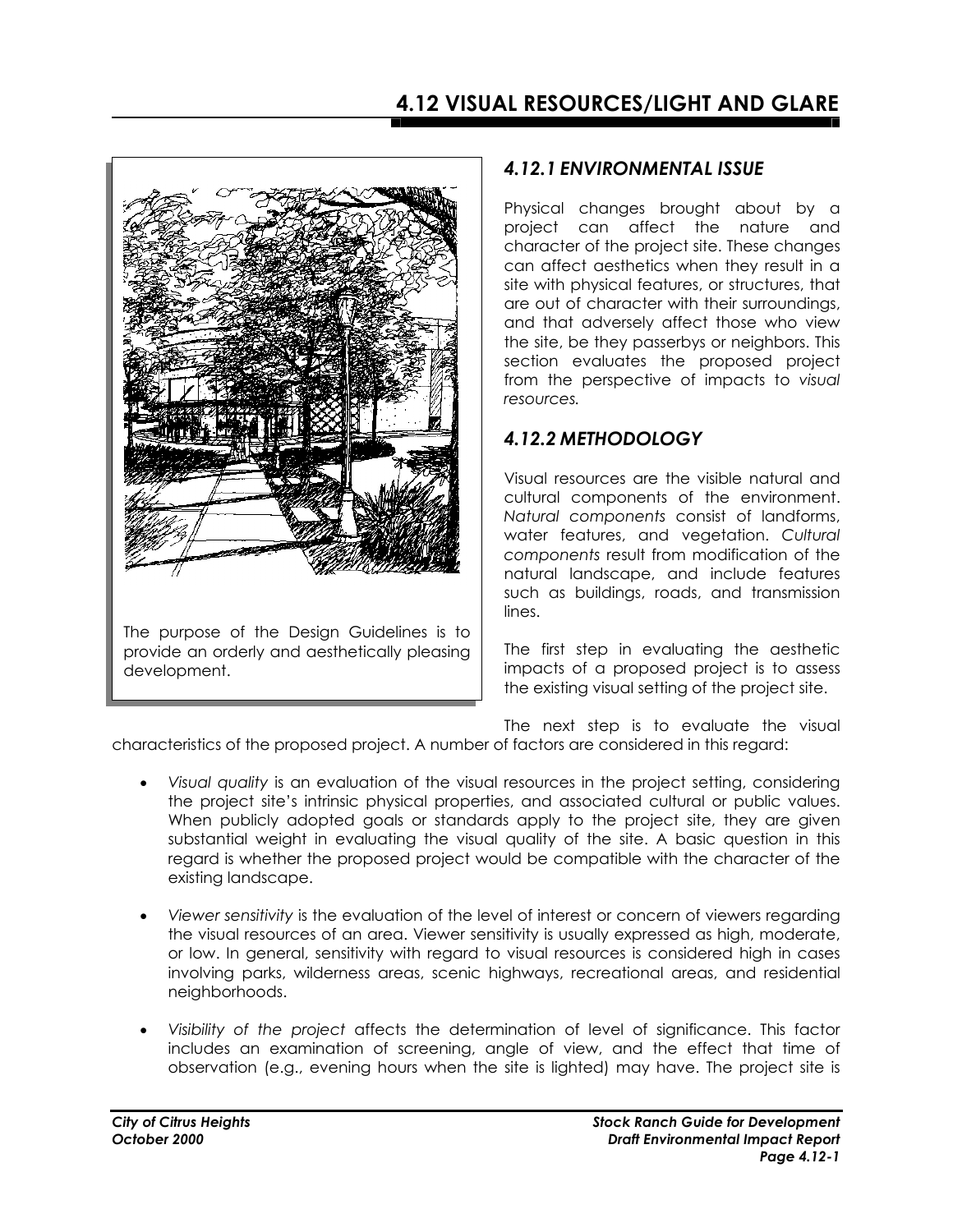

### *4.12.1 ENVIRONMENTAL ISSUE*

Physical changes brought about by a project can affect the nature and character of the project site. These changes can affect aesthetics when they result in a site with physical features, or structures, that are out of character with their surroundings, and that adversely affect those who view the site, be they passerbys or neighbors. This section evaluates the proposed project from the perspective of impacts to *visual resources.* 

### *4.12.2 METHODOLOGY*

Visual resources are the visible natural and cultural components of the environment. *Natural components* consist of landforms, water features, and vegetation. *Cultural components* result from modification of the natural landscape, and include features such as buildings, roads, and transmission lines.

The first step in evaluating the aesthetic impacts of a proposed project is to assess the existing visual setting of the project site.

The next step is to evaluate the visual

characteristics of the proposed project. A number of factors are considered in this regard:

- *Visual quality* is an evaluation of the visual resources in the project setting, considering the project site's intrinsic physical properties, and associated cultural or public values. When publicly adopted goals or standards apply to the project site, they are given substantial weight in evaluating the visual quality of the site. A basic question in this regard is whether the proposed project would be compatible with the character of the existing landscape.
- *Viewer sensitivity* is the evaluation of the level of interest or concern of viewers regarding the visual resources of an area. Viewer sensitivity is usually expressed as high, moderate, or low. In general, sensitivity with regard to visual resources is considered high in cases involving parks, wilderness areas, scenic highways, recreational areas, and residential neighborhoods.
- *Visibility of the project* affects the determination of level of significance. This factor includes an examination of screening, angle of view, and the effect that time of observation (e.g., evening hours when the site is lighted) may have. The project site is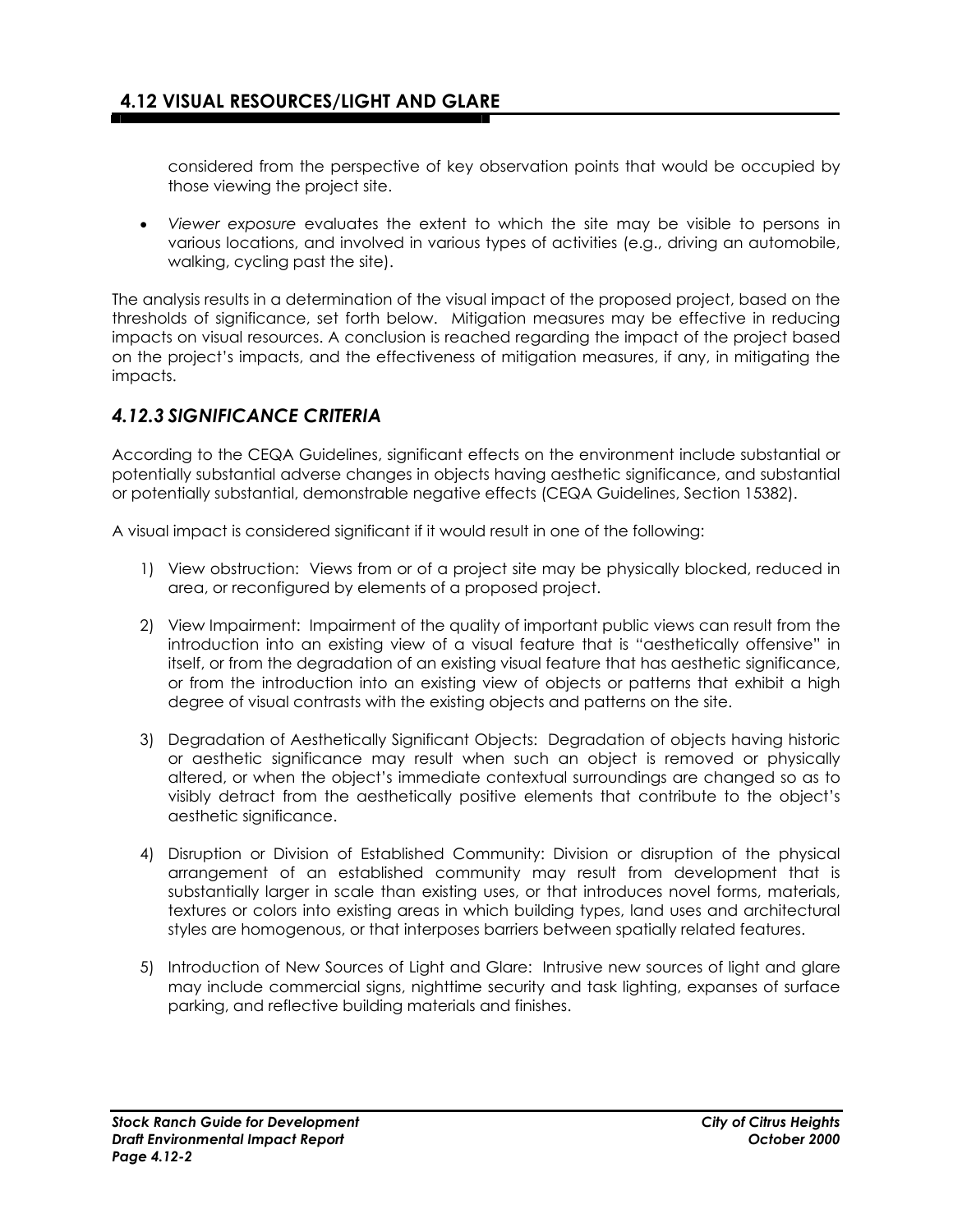considered from the perspective of key observation points that would be occupied by those viewing the project site.

• *Viewer exposure* evaluates the extent to which the site may be visible to persons in various locations, and involved in various types of activities (e.g., driving an automobile, walking, cycling past the site).

The analysis results in a determination of the visual impact of the proposed project, based on the thresholds of significance, set forth below. Mitigation measures may be effective in reducing impacts on visual resources. A conclusion is reached regarding the impact of the project based on the project's impacts, and the effectiveness of mitigation measures, if any, in mitigating the impacts.

### *4.12.3 SIGNIFICANCE CRITERIA*

According to the CEQA Guidelines, significant effects on the environment include substantial or potentially substantial adverse changes in objects having aesthetic significance, and substantial or potentially substantial, demonstrable negative effects (CEQA Guidelines, Section 15382).

A visual impact is considered significant if it would result in one of the following:

- 1) View obstruction: Views from or of a project site may be physically blocked, reduced in area, or reconfigured by elements of a proposed project.
- 2) View Impairment: Impairment of the quality of important public views can result from the introduction into an existing view of a visual feature that is "aesthetically offensive" in itself, or from the degradation of an existing visual feature that has aesthetic significance, or from the introduction into an existing view of objects or patterns that exhibit a high degree of visual contrasts with the existing objects and patterns on the site.
- 3) Degradation of Aesthetically Significant Objects: Degradation of objects having historic or aesthetic significance may result when such an object is removed or physically altered, or when the object's immediate contextual surroundings are changed so as to visibly detract from the aesthetically positive elements that contribute to the object's aesthetic significance.
- 4) Disruption or Division of Established Community: Division or disruption of the physical arrangement of an established community may result from development that is substantially larger in scale than existing uses, or that introduces novel forms, materials, textures or colors into existing areas in which building types, land uses and architectural styles are homogenous, or that interposes barriers between spatially related features.
- 5) Introduction of New Sources of Light and Glare: Intrusive new sources of light and glare may include commercial signs, nighttime security and task lighting, expanses of surface parking, and reflective building materials and finishes.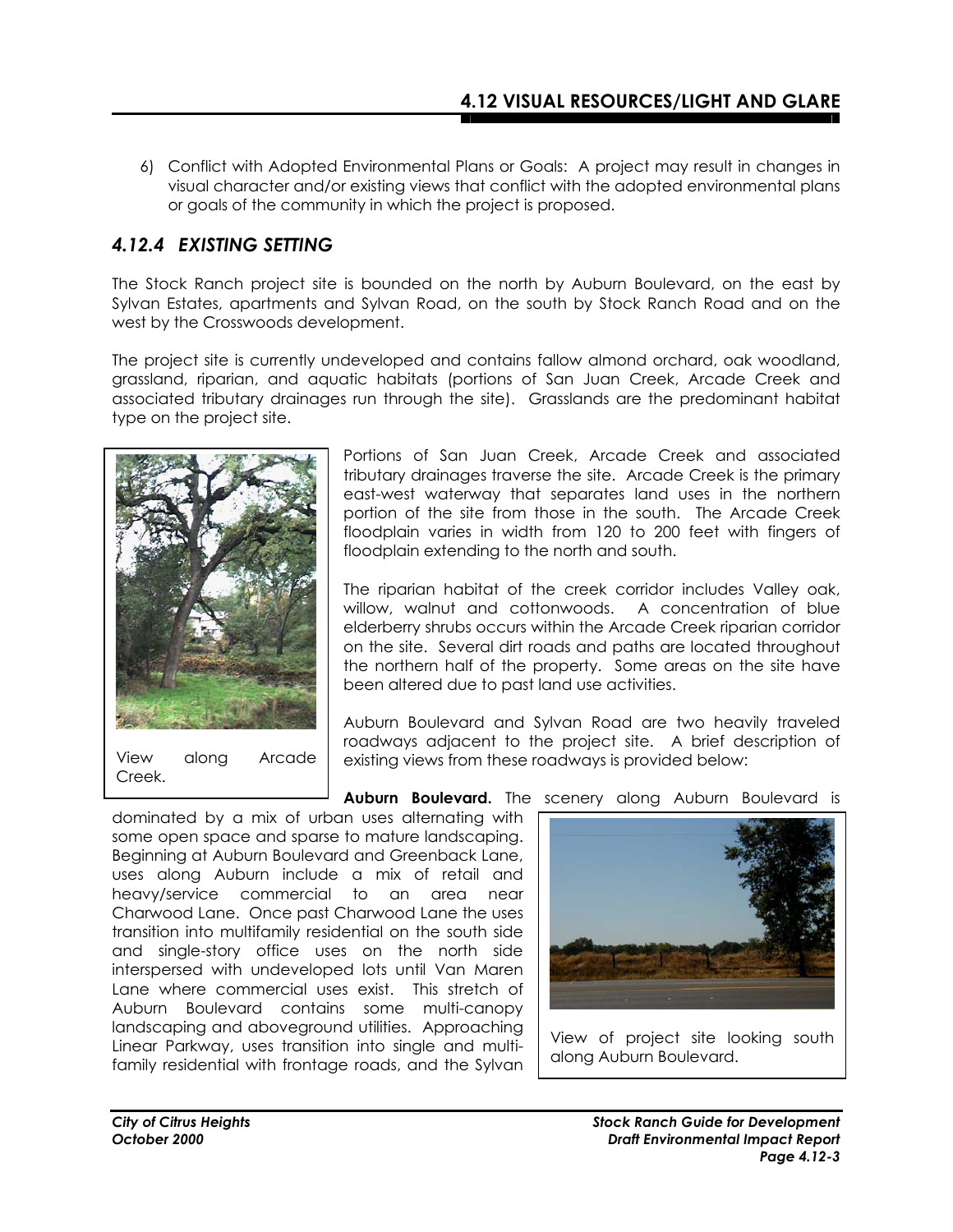6) Conflict with Adopted Environmental Plans or Goals: A project may result in changes in visual character and/or existing views that conflict with the adopted environmental plans or goals of the community in which the project is proposed.

# *4.12.4 EXISTING SETTING*

The Stock Ranch project site is bounded on the north by Auburn Boulevard, on the east by Sylvan Estates, apartments and Sylvan Road, on the south by Stock Ranch Road and on the west by the Crosswoods development.

The project site is currently undeveloped and contains fallow almond orchard, oak woodland, grassland, riparian, and aquatic habitats (portions of San Juan Creek, Arcade Creek and associated tributary drainages run through the site). Grasslands are the predominant habitat type on the project site.



View along Arcade Creek.

Portions of San Juan Creek, Arcade Creek and associated tributary drainages traverse the site. Arcade Creek is the primary east-west waterway that separates land uses in the northern portion of the site from those in the south. The Arcade Creek floodplain varies in width from 120 to 200 feet with fingers of floodplain extending to the north and south.

The riparian habitat of the creek corridor includes Valley oak, willow, walnut and cottonwoods. A concentration of blue elderberry shrubs occurs within the Arcade Creek riparian corridor on the site. Several dirt roads and paths are located throughout the northern half of the property. Some areas on the site have been altered due to past land use activities.

Auburn Boulevard and Sylvan Road are two heavily traveled roadways adjacent to the project site. A brief description of existing views from these roadways is provided below:

**Auburn Boulevard.** The scenery along Auburn Boulevard is

dominated by a mix of urban uses alternating with some open space and sparse to mature landscaping. Beginning at Auburn Boulevard and Greenback Lane, uses along Auburn include a mix of retail and heavy/service commercial to an area near Charwood Lane. Once past Charwood Lane the uses transition into multifamily residential on the south side and single-story office uses on the north side interspersed with undeveloped lots until Van Maren Lane where commercial uses exist. This stretch of Auburn Boulevard contains some multi-canopy landscaping and aboveground utilities. Approaching Linear Parkway, uses transition into single and multifamily residential with frontage roads, and the Sylvan

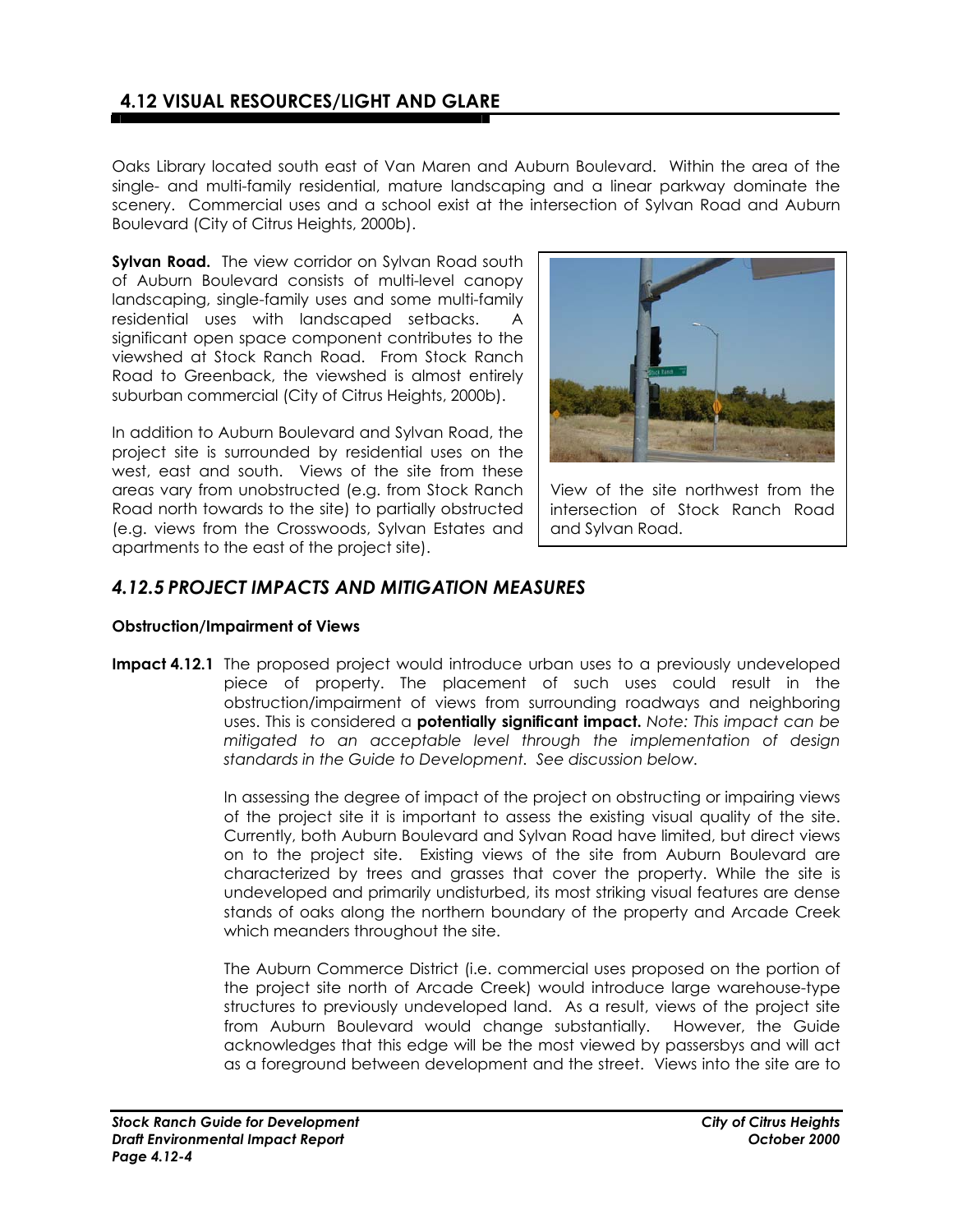# **4.12 VISUAL RESOURCES/LIGHT AND GLARE**

Oaks Library located south east of Van Maren and Auburn Boulevard. Within the area of the single- and multi-family residential, mature landscaping and a linear parkway dominate the scenery. Commercial uses and a school exist at the intersection of Sylvan Road and Auburn Boulevard (City of Citrus Heights, 2000b).

**Sylvan Road.** The view corridor on Sylvan Road south of Auburn Boulevard consists of multi-level canopy landscaping, single-family uses and some multi-family residential uses with landscaped setbacks. A significant open space component contributes to the viewshed at Stock Ranch Road. From Stock Ranch Road to Greenback, the viewshed is almost entirely suburban commercial (City of Citrus Heights, 2000b).

In addition to Auburn Boulevard and Sylvan Road, the project site is surrounded by residential uses on the west, east and south. Views of the site from these areas vary from unobstructed (e.g. from Stock Ranch Road north towards to the site) to partially obstructed (e.g. views from the Crosswoods, Sylvan Estates and apartments to the east of the project site).



View of the site northwest from the intersection of Stock Ranch Road and Sylvan Road.

### *4.12.5 PROJECT IMPACTS AND MITIGATION MEASURES*

#### **Obstruction/Impairment of Views**

**Impact 4.12.1** The proposed project would introduce urban uses to a previously undeveloped piece of property. The placement of such uses could result in the obstruction/impairment of views from surrounding roadways and neighboring uses. This is considered a **potentially significant impact.** *Note: This impact can be mitigated to an acceptable level through the implementation of design standards in the Guide to Development. See discussion below.*

> In assessing the degree of impact of the project on obstructing or impairing views of the project site it is important to assess the existing visual quality of the site. Currently, both Auburn Boulevard and Sylvan Road have limited, but direct views on to the project site. Existing views of the site from Auburn Boulevard are characterized by trees and grasses that cover the property. While the site is undeveloped and primarily undisturbed, its most striking visual features are dense stands of oaks along the northern boundary of the property and Arcade Creek which meanders throughout the site.

> The Auburn Commerce District (i.e. commercial uses proposed on the portion of the project site north of Arcade Creek) would introduce large warehouse-type structures to previously undeveloped land. As a result, views of the project site from Auburn Boulevard would change substantially. However, the Guide acknowledges that this edge will be the most viewed by passersbys and will act as a foreground between development and the street. Views into the site are to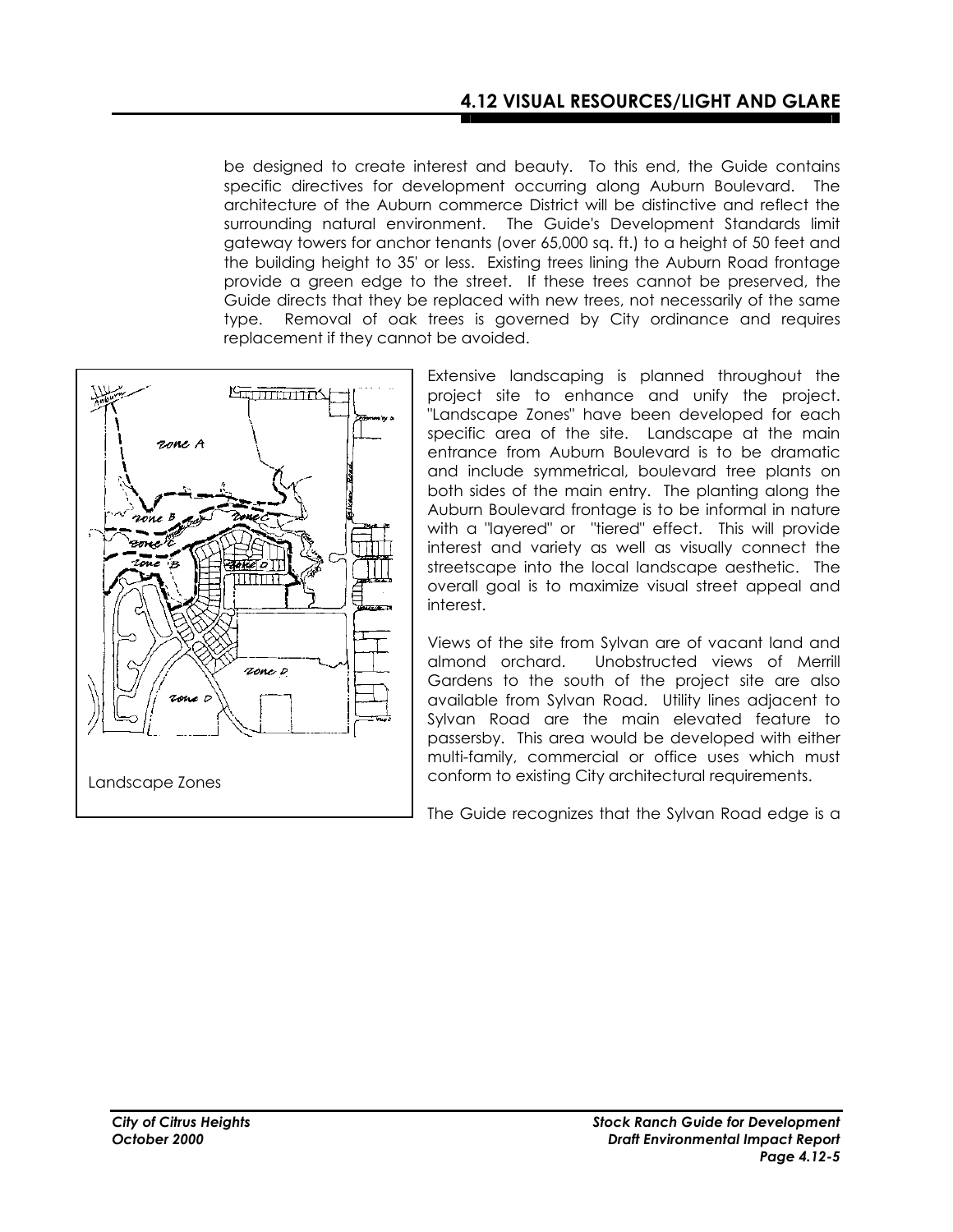be designed to create interest and beauty. To this end, the Guide contains specific directives for development occurring along Auburn Boulevard. The architecture of the Auburn commerce District will be distinctive and reflect the surrounding natural environment. The Guide's Development Standards limit gateway towers for anchor tenants (over 65,000 sq. ft.) to a height of 50 feet and the building height to 35' or less. Existing trees lining the Auburn Road frontage provide a green edge to the street. If these trees cannot be preserved, the Guide directs that they be replaced with new trees, not necessarily of the same type. Removal of oak trees is governed by City ordinance and requires replacement if they cannot be avoided.



Extensive landscaping is planned throughout the project site to enhance and unify the project. "Landscape Zones" have been developed for each specific area of the site. Landscape at the main entrance from Auburn Boulevard is to be dramatic and include symmetrical, boulevard tree plants on both sides of the main entry. The planting along the Auburn Boulevard frontage is to be informal in nature with a "layered" or "tiered" effect. This will provide interest and variety as well as visually connect the streetscape into the local landscape aesthetic. The overall goal is to maximize visual street appeal and interest.

Views of the site from Sylvan are of vacant land and almond orchard. Unobstructed views of Merrill Gardens to the south of the project site are also available from Sylvan Road. Utility lines adjacent to Sylvan Road are the main elevated feature to passersby. This area would be developed with either multi-family, commercial or office uses which must conform to existing City architectural requirements.

The Guide recognizes that the Sylvan Road edge is a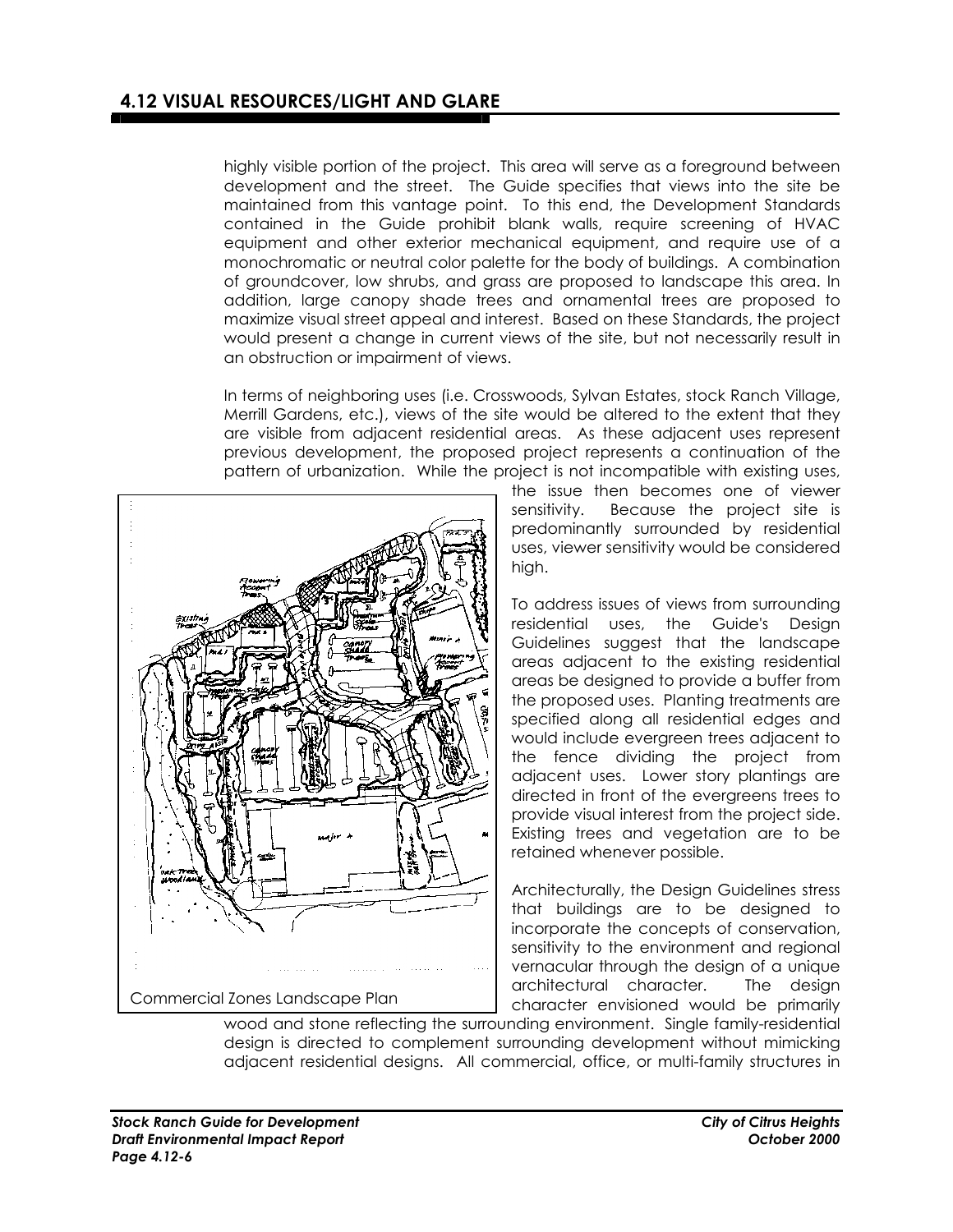highly visible portion of the project. This area will serve as a foreground between development and the street. The Guide specifies that views into the site be maintained from this vantage point. To this end, the Development Standards contained in the Guide prohibit blank walls, require screening of HVAC equipment and other exterior mechanical equipment, and require use of a monochromatic or neutral color palette for the body of buildings. A combination of groundcover, low shrubs, and grass are proposed to landscape this area. In addition, large canopy shade trees and ornamental trees are proposed to maximize visual street appeal and interest. Based on these Standards, the project would present a change in current views of the site, but not necessarily result in an obstruction or impairment of views.

In terms of neighboring uses (i.e. Crosswoods, Sylvan Estates, stock Ranch Village, Merrill Gardens, etc.), views of the site would be altered to the extent that they are visible from adjacent residential areas. As these adjacent uses represent previous development, the proposed project represents a continuation of the pattern of urbanization. While the project is not incompatible with existing uses,



the issue then becomes one of viewer sensitivity. Because the project site is predominantly surrounded by residential uses, viewer sensitivity would be considered high.

To address issues of views from surrounding residential uses, the Guide's Design Guidelines suggest that the landscape areas adjacent to the existing residential areas be designed to provide a buffer from the proposed uses. Planting treatments are specified along all residential edges and would include evergreen trees adjacent to the fence dividing the project from adjacent uses. Lower story plantings are directed in front of the evergreens trees to provide visual interest from the project side. Existing trees and vegetation are to be retained whenever possible.

Architecturally, the Design Guidelines stress that buildings are to be designed to incorporate the concepts of conservation, sensitivity to the environment and regional vernacular through the design of a unique architectural character. The design character envisioned would be primarily

wood and stone reflecting the surrounding environment. Single family-residential design is directed to complement surrounding development without mimicking adjacent residential designs. All commercial, office, or multi-family structures in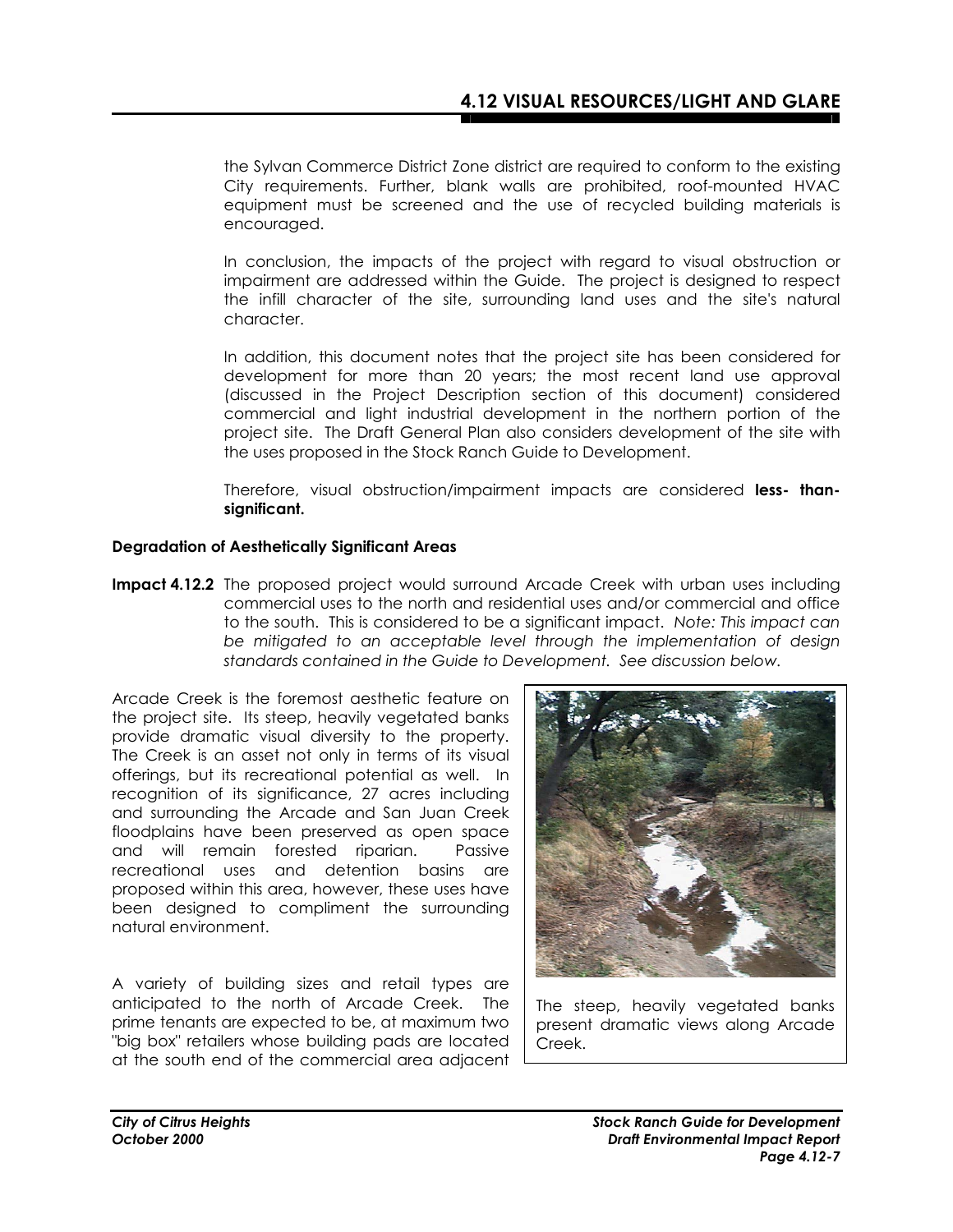the Sylvan Commerce District Zone district are required to conform to the existing City requirements. Further, blank walls are prohibited, roof-mounted HVAC equipment must be screened and the use of recycled building materials is encouraged.

In conclusion, the impacts of the project with regard to visual obstruction or impairment are addressed within the Guide. The project is designed to respect the infill character of the site, surrounding land uses and the site's natural character.

In addition, this document notes that the project site has been considered for development for more than 20 years; the most recent land use approval (discussed in the Project Description section of this document) considered commercial and light industrial development in the northern portion of the project site. The Draft General Plan also considers development of the site with the uses proposed in the Stock Ranch Guide to Development.

Therefore, visual obstruction/impairment impacts are considered **less- thansignificant.** 

#### **Degradation of Aesthetically Significant Areas**

**Impact 4.12.2** The proposed project would surround Arcade Creek with urban uses including commercial uses to the north and residential uses and/or commercial and office to the south. This is considered to be a significant impact. *Note: This impact can be mitigated to an acceptable level through the implementation of design standards contained in the Guide to Development. See discussion below.* 

Arcade Creek is the foremost aesthetic feature on the project site. Its steep, heavily vegetated banks provide dramatic visual diversity to the property. The Creek is an asset not only in terms of its visual offerings, but its recreational potential as well. In recognition of its significance, 27 acres including and surrounding the Arcade and San Juan Creek floodplains have been preserved as open space and will remain forested riparian. Passive recreational uses and detention basins are proposed within this area, however, these uses have been designed to compliment the surrounding natural environment.

A variety of building sizes and retail types are anticipated to the north of Arcade Creek. The prime tenants are expected to be, at maximum two "big box" retailers whose building pads are located at the south end of the commercial area adjacent



The steep, heavily vegetated banks present dramatic views along Arcade Creek.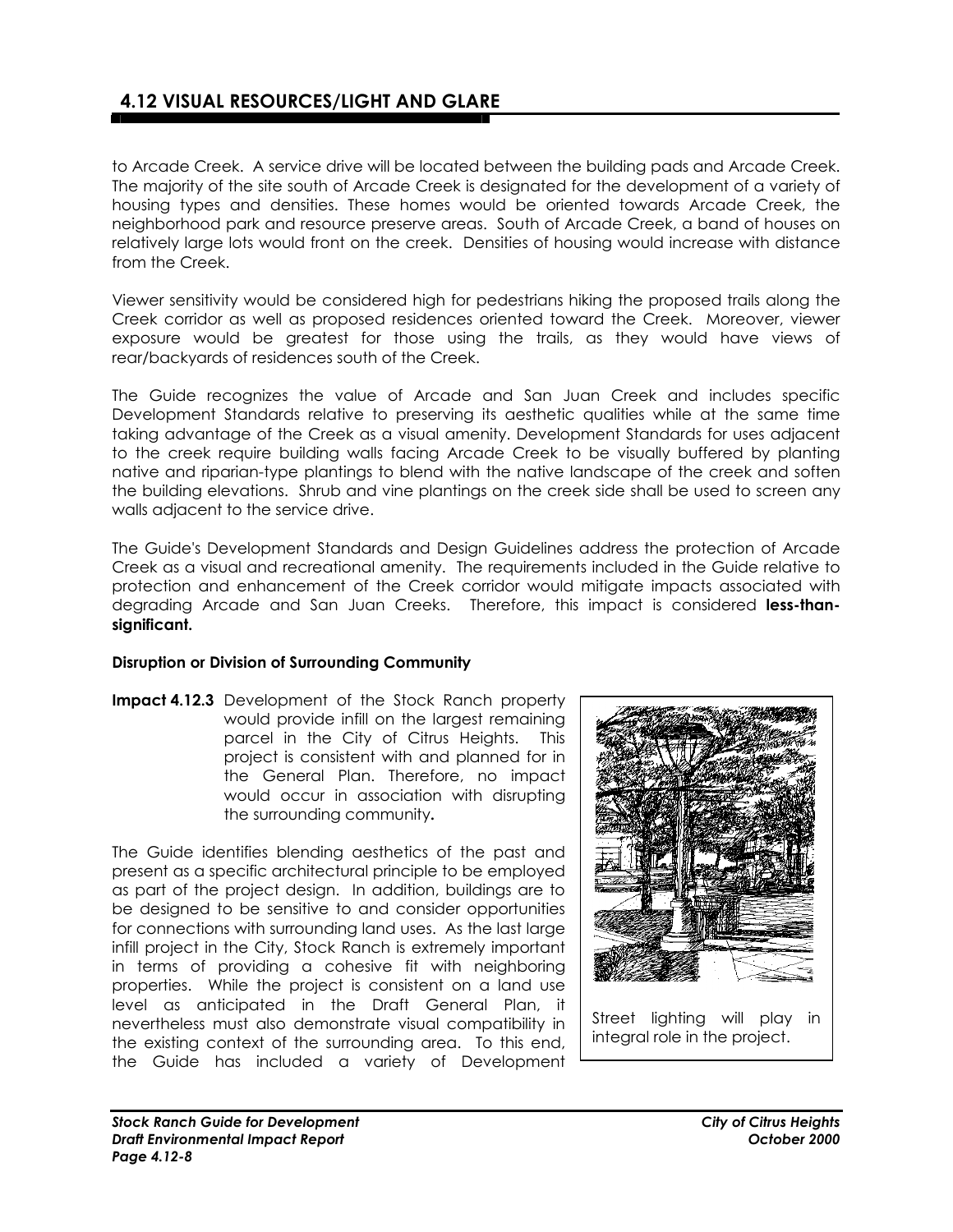### **4.12 VISUAL RESOURCES/LIGHT AND GLARE**

to Arcade Creek. A service drive will be located between the building pads and Arcade Creek. The majority of the site south of Arcade Creek is designated for the development of a variety of housing types and densities. These homes would be oriented towards Arcade Creek, the neighborhood park and resource preserve areas. South of Arcade Creek, a band of houses on relatively large lots would front on the creek. Densities of housing would increase with distance from the Creek.

Viewer sensitivity would be considered high for pedestrians hiking the proposed trails along the Creek corridor as well as proposed residences oriented toward the Creek. Moreover, viewer exposure would be greatest for those using the trails, as they would have views of rear/backyards of residences south of the Creek.

The Guide recognizes the value of Arcade and San Juan Creek and includes specific Development Standards relative to preserving its aesthetic qualities while at the same time taking advantage of the Creek as a visual amenity. Development Standards for uses adjacent to the creek require building walls facing Arcade Creek to be visually buffered by planting native and riparian-type plantings to blend with the native landscape of the creek and soften the building elevations. Shrub and vine plantings on the creek side shall be used to screen any walls adjacent to the service drive.

The Guide's Development Standards and Design Guidelines address the protection of Arcade Creek as a visual and recreational amenity. The requirements included in the Guide relative to protection and enhancement of the Creek corridor would mitigate impacts associated with degrading Arcade and San Juan Creeks. Therefore, this impact is considered **less-thansignificant.**

#### **Disruption or Division of Surrounding Community**

**Impact 4.12.3** Development of the Stock Ranch property would provide infill on the largest remaining parcel in the City of Citrus Heights. This project is consistent with and planned for in the General Plan. Therefore, no impact would occur in association with disrupting the surrounding community**.** 

The Guide identifies blending aesthetics of the past and present as a specific architectural principle to be employed as part of the project design. In addition, buildings are to be designed to be sensitive to and consider opportunities for connections with surrounding land uses. As the last large infill project in the City, Stock Ranch is extremely important in terms of providing a cohesive fit with neighboring properties. While the project is consistent on a land use level as anticipated in the Draft General Plan, it nevertheless must also demonstrate visual compatibility in the existing context of the surrounding area. To this end, the Guide has included a variety of Development

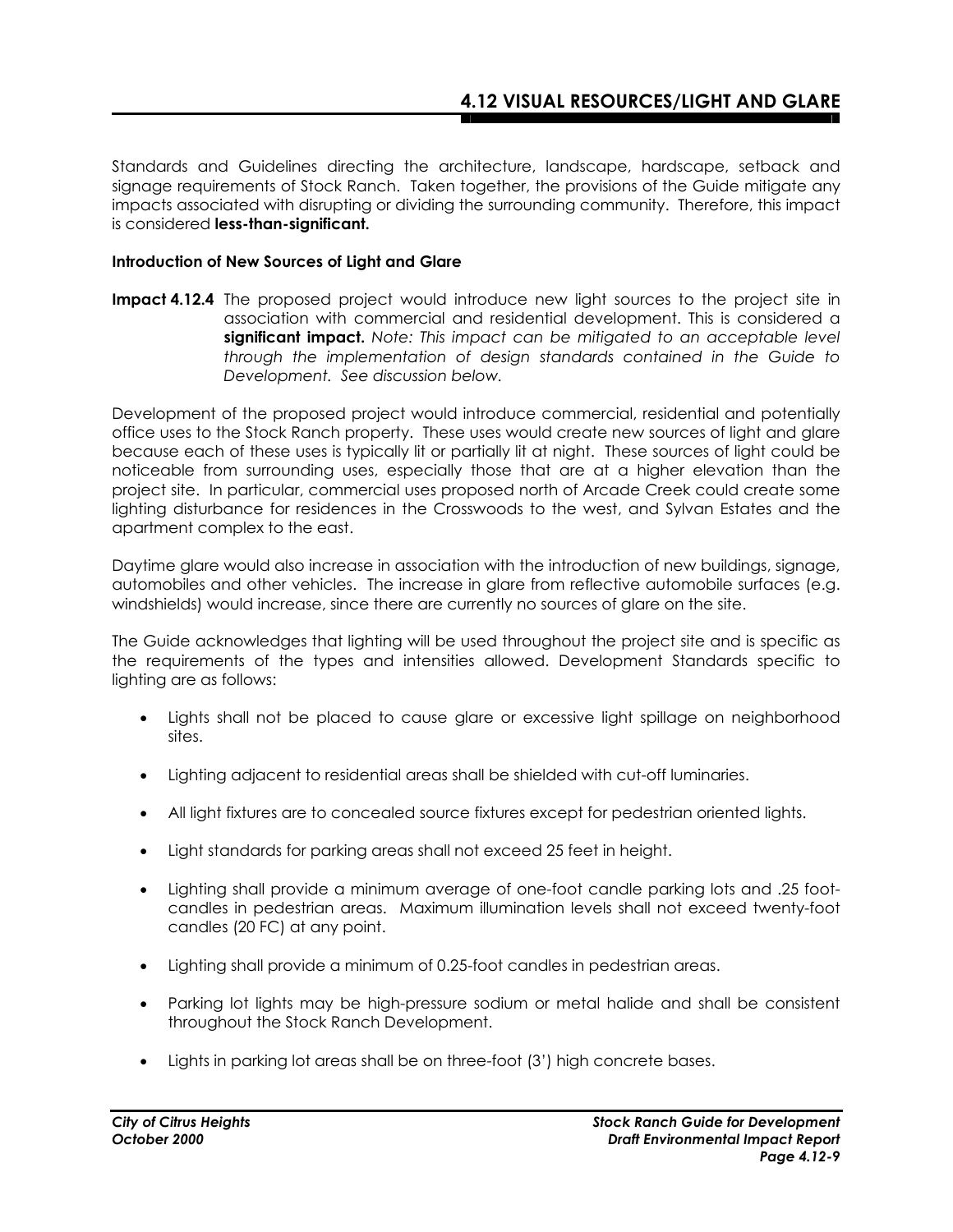Standards and Guidelines directing the architecture, landscape, hardscape, setback and signage requirements of Stock Ranch. Taken together, the provisions of the Guide mitigate any impacts associated with disrupting or dividing the surrounding community. Therefore, this impact is considered **less-than-significant.** 

#### **Introduction of New Sources of Light and Glare**

**Impact 4.12.4** The proposed project would introduce new light sources to the project site in association with commercial and residential development. This is considered a **significant impact.** *Note: This impact can be mitigated to an acceptable level through the implementation of design standards contained in the Guide to Development. See discussion below.*

Development of the proposed project would introduce commercial, residential and potentially office uses to the Stock Ranch property. These uses would create new sources of light and glare because each of these uses is typically lit or partially lit at night. These sources of light could be noticeable from surrounding uses, especially those that are at a higher elevation than the project site. In particular, commercial uses proposed north of Arcade Creek could create some lighting disturbance for residences in the Crosswoods to the west, and Sylvan Estates and the apartment complex to the east.

Daytime glare would also increase in association with the introduction of new buildings, signage, automobiles and other vehicles. The increase in glare from reflective automobile surfaces (e.g. windshields) would increase, since there are currently no sources of glare on the site.

The Guide acknowledges that lighting will be used throughout the project site and is specific as the requirements of the types and intensities allowed. Development Standards specific to lighting are as follows:

- Lights shall not be placed to cause glare or excessive light spillage on neighborhood sites.
- Lighting adjacent to residential areas shall be shielded with cut-off luminaries.
- All light fixtures are to concealed source fixtures except for pedestrian oriented lights.
- Light standards for parking areas shall not exceed 25 feet in height.
- Lighting shall provide a minimum average of one-foot candle parking lots and .25 footcandles in pedestrian areas. Maximum illumination levels shall not exceed twenty-foot candles (20 FC) at any point.
- Lighting shall provide a minimum of 0.25-foot candles in pedestrian areas.
- Parking lot lights may be high-pressure sodium or metal halide and shall be consistent throughout the Stock Ranch Development.
- Lights in parking lot areas shall be on three-foot (3') high concrete bases.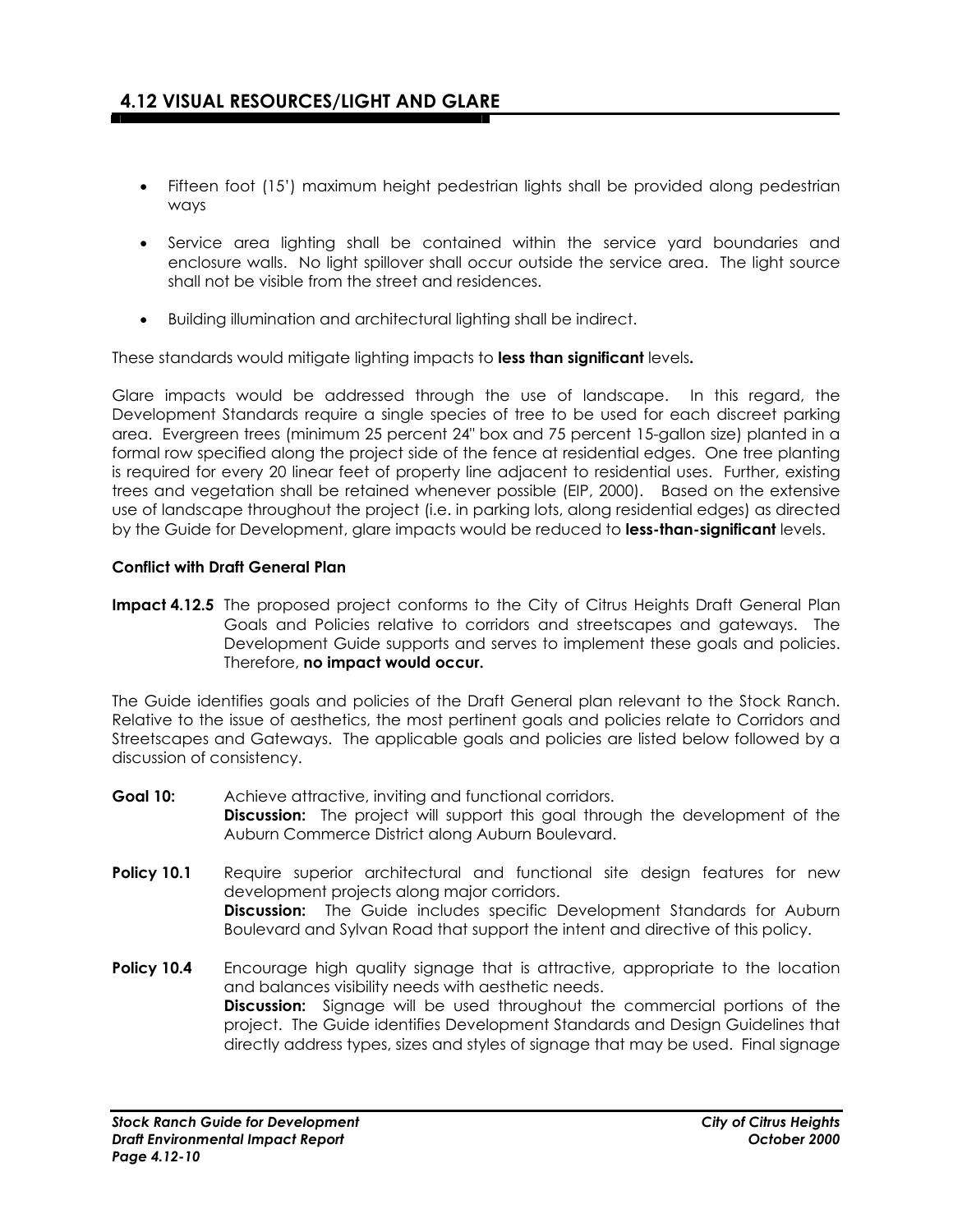- Fifteen foot (15') maximum height pedestrian lights shall be provided along pedestrian ways
- Service area lighting shall be contained within the service yard boundaries and enclosure walls. No light spillover shall occur outside the service area. The light source shall not be visible from the street and residences.
- Building illumination and architectural lighting shall be indirect.

These standards would mitigate lighting impacts to **less than significant** levels**.**

Glare impacts would be addressed through the use of landscape. In this regard, the Development Standards require a single species of tree to be used for each discreet parking area. Evergreen trees (minimum 25 percent 24" box and 75 percent 15-gallon size) planted in a formal row specified along the project side of the fence at residential edges. One tree planting is required for every 20 linear feet of property line adjacent to residential uses. Further, existing trees and vegetation shall be retained whenever possible (EIP, 2000). Based on the extensive use of landscape throughout the project (i.e. in parking lots, along residential edges) as directed by the Guide for Development, glare impacts would be reduced to **less-than-significant** levels.

#### **Conflict with Draft General Plan**

**Impact 4.12.5** The proposed project conforms to the City of Citrus Heights Draft General Plan Goals and Policies relative to corridors and streetscapes and gateways. The Development Guide supports and serves to implement these goals and policies. Therefore, **no impact would occur.** 

The Guide identifies goals and policies of the Draft General plan relevant to the Stock Ranch. Relative to the issue of aesthetics, the most pertinent goals and policies relate to Corridors and Streetscapes and Gateways. The applicable goals and policies are listed below followed by a discussion of consistency.

- **Goal 10:** Achieve attractive, inviting and functional corridors. **Discussion:** The project will support this goal through the development of the Auburn Commerce District along Auburn Boulevard.
- **Policy 10.1** Require superior architectural and functional site design features for new development projects along major corridors. **Discussion:** The Guide includes specific Development Standards for Auburn Boulevard and Sylvan Road that support the intent and directive of this policy.
- **Policy 10.4** Encourage high quality signage that is attractive, appropriate to the location and balances visibility needs with aesthetic needs.  **Discussion:** Signage will be used throughout the commercial portions of the project. The Guide identifies Development Standards and Design Guidelines that directly address types, sizes and styles of signage that may be used. Final signage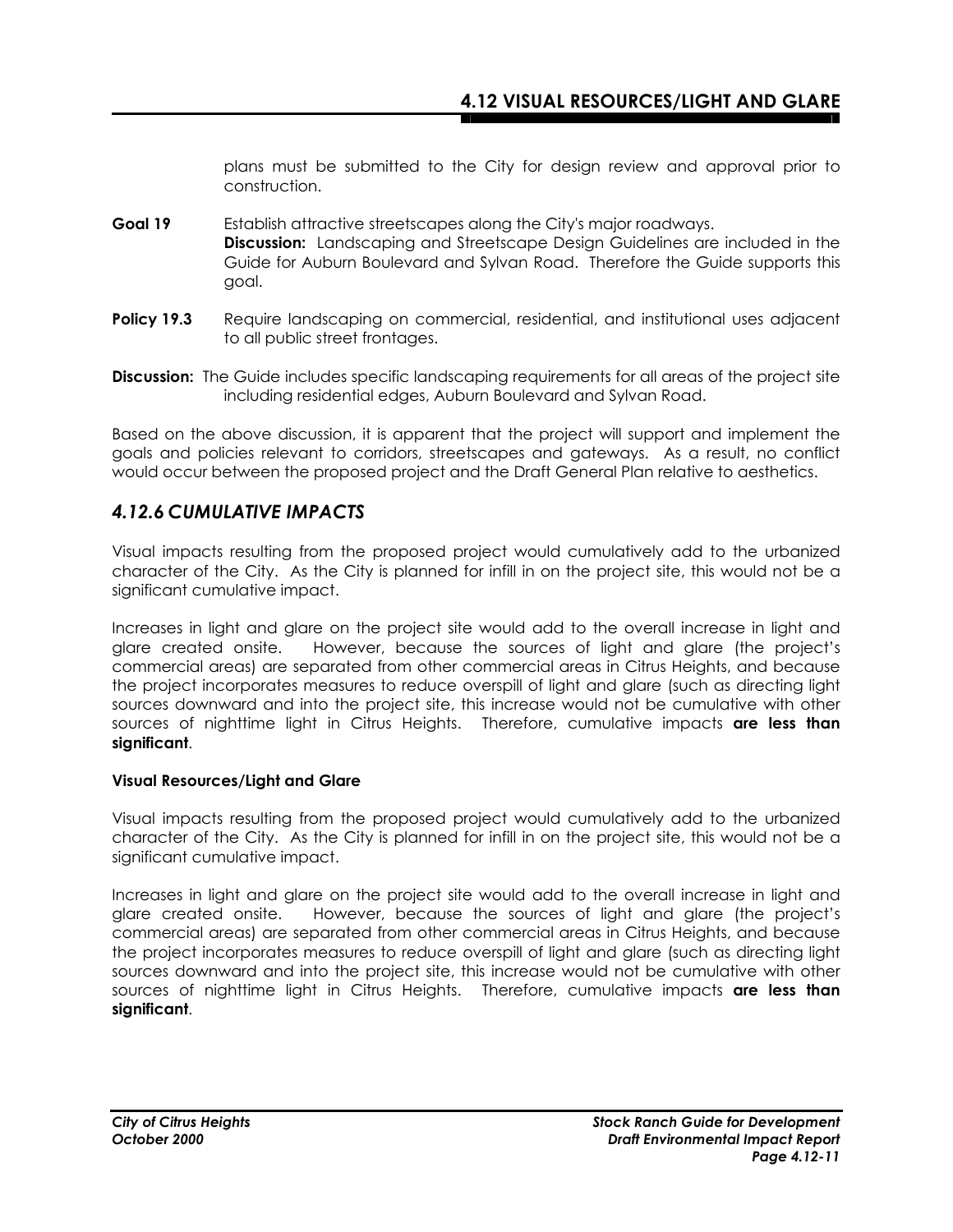plans must be submitted to the City for design review and approval prior to construction.

- **Goal 19** Establish attractive streetscapes along the City's major roadways.  **Discussion:** Landscaping and Streetscape Design Guidelines are included in the Guide for Auburn Boulevard and Sylvan Road. Therefore the Guide supports this goal.
- **Policy 19.3** Require landscaping on commercial, residential, and institutional uses adjacent to all public street frontages.
- **Discussion:** The Guide includes specific landscaping requirements for all areas of the project site including residential edges, Auburn Boulevard and Sylvan Road.

Based on the above discussion, it is apparent that the project will support and implement the goals and policies relevant to corridors, streetscapes and gateways. As a result, no conflict would occur between the proposed project and the Draft General Plan relative to aesthetics.

### *4.12.6 CUMULATIVE IMPACTS*

Visual impacts resulting from the proposed project would cumulatively add to the urbanized character of the City. As the City is planned for infill in on the project site, this would not be a significant cumulative impact.

Increases in light and glare on the project site would add to the overall increase in light and glare created onsite. However, because the sources of light and glare (the project's commercial areas) are separated from other commercial areas in Citrus Heights, and because the project incorporates measures to reduce overspill of light and glare (such as directing light sources downward and into the project site, this increase would not be cumulative with other sources of nighttime light in Citrus Heights. Therefore, cumulative impacts **are less than significant**.

#### **Visual Resources/Light and Glare**

Visual impacts resulting from the proposed project would cumulatively add to the urbanized character of the City. As the City is planned for infill in on the project site, this would not be a significant cumulative impact.

Increases in light and glare on the project site would add to the overall increase in light and glare created onsite. However, because the sources of light and glare (the project's commercial areas) are separated from other commercial areas in Citrus Heights, and because the project incorporates measures to reduce overspill of light and glare (such as directing light sources downward and into the project site, this increase would not be cumulative with other sources of nighttime light in Citrus Heights. Therefore, cumulative impacts **are less than significant**.